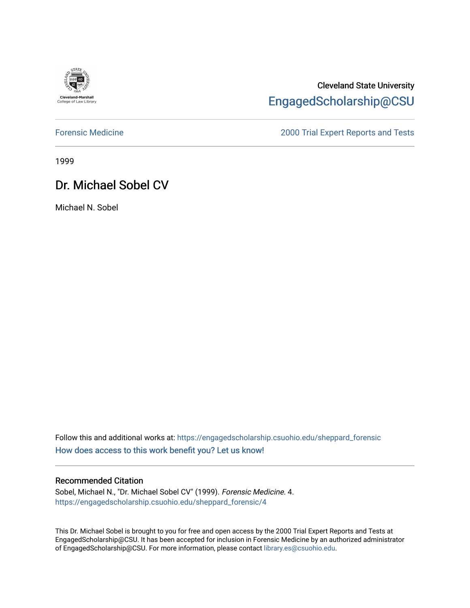

## Cleveland State University [EngagedScholarship@CSU](https://engagedscholarship.csuohio.edu/)

[Forensic Medicine](https://engagedscholarship.csuohio.edu/sheppard_forensic) [2000 Trial Expert Reports and Tests](https://engagedscholarship.csuohio.edu/sheppard_experts) 

1999

# Dr. Michael Sobel CV

Michael N. Sobel

Follow this and additional works at: [https://engagedscholarship.csuohio.edu/sheppard\\_forensic](https://engagedscholarship.csuohio.edu/sheppard_forensic?utm_source=engagedscholarship.csuohio.edu%2Fsheppard_forensic%2F4&utm_medium=PDF&utm_campaign=PDFCoverPages) [How does access to this work benefit you? Let us know!](http://library.csuohio.edu/engaged/)

### Recommended Citation

Sobel, Michael N., "Dr. Michael Sobel CV" (1999). Forensic Medicine. 4. [https://engagedscholarship.csuohio.edu/sheppard\\_forensic/4](https://engagedscholarship.csuohio.edu/sheppard_forensic/4?utm_source=engagedscholarship.csuohio.edu%2Fsheppard_forensic%2F4&utm_medium=PDF&utm_campaign=PDFCoverPages)

This Dr. Michael Sobel is brought to you for free and open access by the 2000 Trial Expert Reports and Tests at EngagedScholarship@CSU. It has been accepted for inclusion in Forensic Medicine by an authorized administrator of EngagedScholarship@CSU. For more information, please contact [library.es@csuohio.edu.](mailto:library.es@csuohio.edu)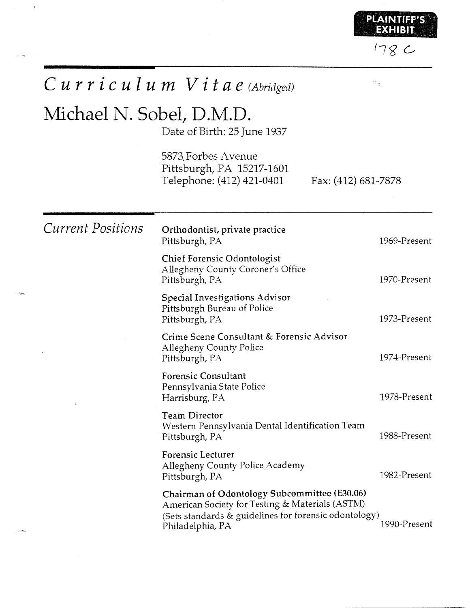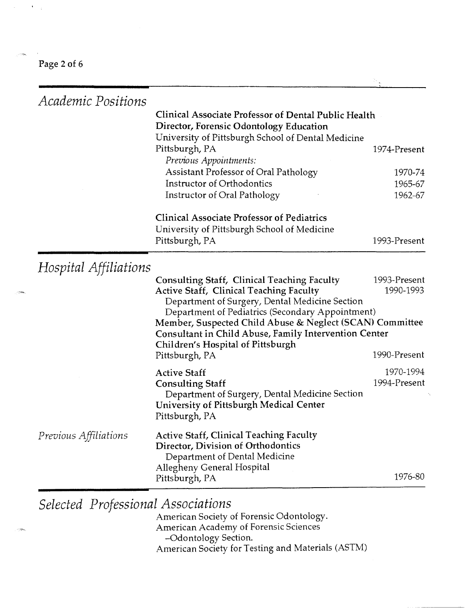Page 2 of 6

 $\mathbf{x} = \mathbf{x} + \mathbf{y}$ 

| Academic Positions                 |                                                                                                                   |              |
|------------------------------------|-------------------------------------------------------------------------------------------------------------------|--------------|
|                                    | Clinical Associate Professor of Dental Public Health<br>Director, Forensic Odontology Education                   |              |
|                                    | University of Pittsburgh School of Dental Medicine<br>Pittsburgh, PA<br>Previous Appointments:                    | 1974-Present |
|                                    | Assistant Professor of Oral Pathology                                                                             | 1970-74      |
|                                    | Instructor of Orthodontics                                                                                        | 1965-67      |
|                                    | Instructor of Oral Pathology                                                                                      | 1962-67      |
|                                    | <b>Clinical Associate Professor of Pediatrics</b>                                                                 |              |
|                                    | University of Pittsburgh School of Medicine<br>Pittsburgh, PA                                                     | 1993-Present |
| Hospital Affiliations              |                                                                                                                   |              |
|                                    | <b>Consulting Staff, Clinical Teaching Faculty</b>                                                                | 1993-Present |
|                                    | Active Staff, Clinical Teaching Faculty                                                                           | 1990-1993    |
|                                    | Department of Surgery, Dental Medicine Section                                                                    |              |
|                                    | Department of Pediatrics (Secondary Appointment)                                                                  |              |
|                                    | Member, Suspected Child Abuse & Neglect (SCAN) Committee<br>Consultant in Child Abuse, Family Intervention Center |              |
|                                    | Children's Hospital of Pittsburgh                                                                                 |              |
|                                    | Pittsburgh, PA                                                                                                    | 1990-Present |
|                                    | <b>Active Staff</b>                                                                                               | 1970-1994    |
|                                    | <b>Consulting Staff</b>                                                                                           | 1994-Present |
|                                    | Department of Surgery, Dental Medicine Section                                                                    |              |
|                                    | University of Pittsburgh Medical Center                                                                           |              |
|                                    | Pittsburgh, PA                                                                                                    |              |
| <i>Previous Affiliations</i>       | <b>Active Staff, Clinical Teaching Faculty</b>                                                                    |              |
|                                    | Director, Division of Orthodontics                                                                                |              |
|                                    | Department of Dental Medicine                                                                                     |              |
|                                    | Allegheny General Hospital                                                                                        |              |
|                                    | Pittsburgh, PA                                                                                                    | 1976-80      |
| Selected Professional Associations |                                                                                                                   |              |
|                                    |                                                                                                                   |              |
|                                    | American Society of Forensic Odontology.<br>American Academy of Forensic Sciences                                 |              |
|                                    | -Odontology Section.                                                                                              |              |
|                                    | American Society for Testing and Materials (ASTM)                                                                 |              |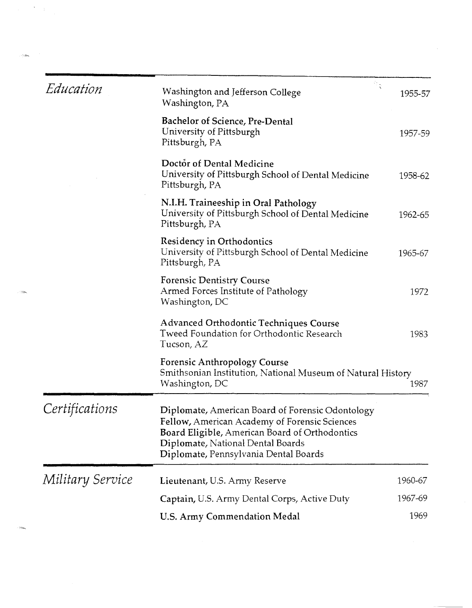| Education        | Washington and Jefferson College<br>Washington, PA                                                                                                                                                                                | 1955-57 |
|------------------|-----------------------------------------------------------------------------------------------------------------------------------------------------------------------------------------------------------------------------------|---------|
|                  | Bachelor of Science, Pre-Dental<br>University of Pittsburgh<br>Pittsburgh, PA                                                                                                                                                     | 1957-59 |
|                  | Doctor of Dental Medicine<br>University of Pittsburgh School of Dental Medicine<br>Pittsburgh, PA                                                                                                                                 | 1958-62 |
|                  | N.I.H. Traineeship in Oral Pathology<br>University of Pittsburgh School of Dental Medicine<br>Pittsburgh, PA                                                                                                                      | 1962-65 |
|                  | Residency in Orthodontics<br>University of Pittsburgh School of Dental Medicine<br>Pittsburgh, PA                                                                                                                                 | 1965-67 |
|                  | <b>Forensic Dentistry Course</b><br>Armed Forces Institute of Pathology<br>Washington, DC                                                                                                                                         | 1972    |
|                  | Advanced Orthodontic Techniques Course<br>Tweed Foundation for Orthodontic Research<br>Tucson, AZ                                                                                                                                 | 1983    |
|                  | <b>Forensic Anthropology Course</b><br>Smithsonian Institution, National Museum of Natural History<br>Washington, DC                                                                                                              | 1987    |
| Certifications   | Diplomate, American Board of Forensic Odontology<br>Fellow, American Academy of Forensic Sciences<br>Board Eligible, American Board of Orthodontics<br>Diplomate, National Dental Boards<br>Diplomate, Pennsylvania Dental Boards |         |
| Military Service | Lieutenant, U.S. Army Reserve                                                                                                                                                                                                     | 1960-67 |
|                  | Captain, U.S. Army Dental Corps, Active Duty                                                                                                                                                                                      | 1967-69 |
|                  | U.S. Army Commendation Medal                                                                                                                                                                                                      | 1969    |

 $\lambda_{\rm{max}}$ 

 $\sim$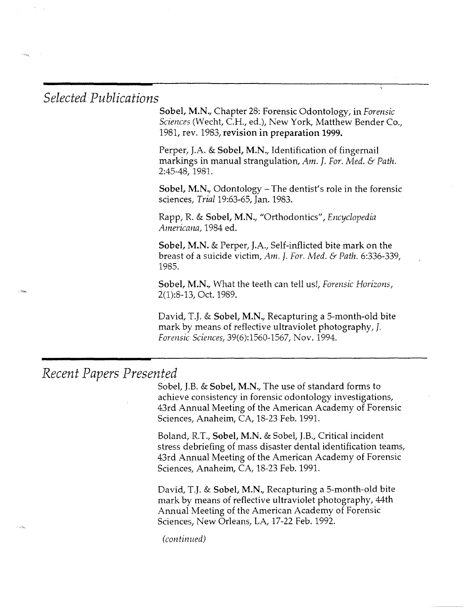## *Selected Publications*

Sobel, M.N., Chapter 28: Forensic Odontology, in *Forensic Sciences* (Wecht, C.H., ed.), New York, Matthew Bender Co., 1981, rev. 1983, revision in preparation 1999.

Perper, J.A. & Sobel, M.N., Identification of fingernail markings in manual strangulation, *Am.* J. *For. Med.* & *Path.*  2:45-48, 1981.

Sobel, M.N., Odontology – The dentist's role in the forensic sciences, *Trial* 19:63-65, Jan. 1983.

Rapp, R. & Sobel, M.N., "Orthodontics", *Encyclopedia Americana,* 1984 ed.

Sobel, M.N. & Perper, J.A., Self-inflicted bite mark on the breast of a suicide victim, *Am.* J. *For. Nied.* & *Path.* 6:336-339, 1985.

Sobel, M.N., What the teeth can tell us!, *Forensic Hon'zons,*  2(1):8-13, Oct. 1989.

David, T.J. & Sobel, M.N., Recapturing a 5-month-old bite mark by means of reflective ultraviolet photography, J. *Forensic Sciences,* 39(6):1560-1567, Nov. 1994.

## *Recent Papers Presented*

Sobel, J.B. & Sobel, M.N., The use of standard forms to achieve consistency in forensic odontology investigations, 43rd Annual Meeting of the American Academy of Forensic Sciences, Anaheim, CA, 18-23 Feb. 1991.

Boland, R.T., Sobel, M.N. & Sobel, J.B., Critical incident stress debriefing of mass disaster dental identification teams, 43rd Annual Meeting of the American Academy of Forensic Sciences, Anaheim, CA, 18-23 Feb. 1991.

David, T.J. & Sobel, M.N., Recapturing a 5-month-old bite mark by means of reflective ultraviolet photography, 44th Annual Meeting of the American Academy of Forensic Sciences, New Orleans, LA, 17-22 Feb. 1992.

*(continued)*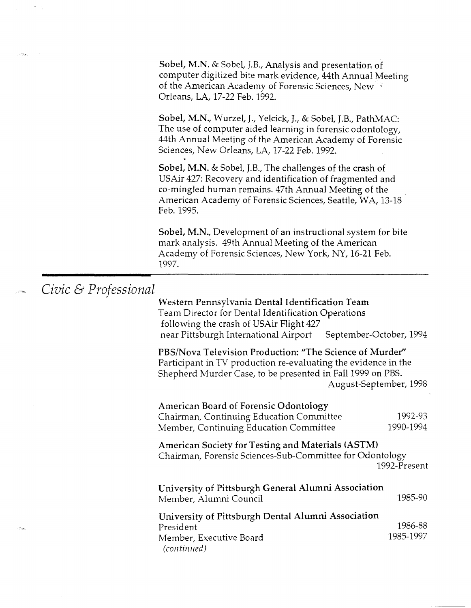Sobel, M.N. & Sobel, J.B., Analysis and presentation of computer digitized bite mark evidence, 44th Annual Meeting of the American Academy of Forensic Sciences, New  $\mathbb{R}^2$ Orleans, LA, 17-22 Feb. 1992.

Sobel, M.N., Wurzel, J., Yelcick, J., & Sobel, J.B., PathMAC: The use of computer aided learning in forensic odontology, 44th Annual Meeting of the American Academy of Forensic Sciences, New Orleans, LA, 17-22 Feb. 1992.

Sobel, M.N. & Sobel, J.B., The challenges of the crash of USAir 427: Recovery and identification of fragmented and co-mingled human remains. 47th Annual Meeting of the American Academy of Forensic Sciences, Seattle, WA, 13-18 Feb. 1995.

Sobel, M.N., Development of an instructional system for bite mark analysis. 49th Annual Meeting of the American Academy of Forensic Sciences, New York, NY, 16-21 Feb. 1997.

## *Civic* & *Professional*

Western Pennsylvania Dental Identification Team Team Director for Dental Identification Operations following the crash of USAir Flight 427 near Pittsburgh International Airport September-October, 1994

PBS/Nova Television Production: "The Science of Murder" Participant in TV production re-evaluating the evidence in the Shepherd Murder Case, to be presented in Fall 1999 on PBS. August-September, 1998

American Board of Forensic Odontology Chairman, Continuing Education Committee Member, Continuing Education Committee 1992-93 1990-1994

American Society for Testing and Materials (ASTM) Chairman, Forensic Sciences-Sub-Committee for Odontology 1992-Present

| University of Pittsburgh General Alumni Association<br>Member, Alumni Council | 1985-90   |
|-------------------------------------------------------------------------------|-----------|
| University of Pittsburgh Dental Alumni Association                            |           |
| President                                                                     | 1986-88   |
| Member, Executive Board                                                       | 1985-1997 |
| (continued)                                                                   |           |